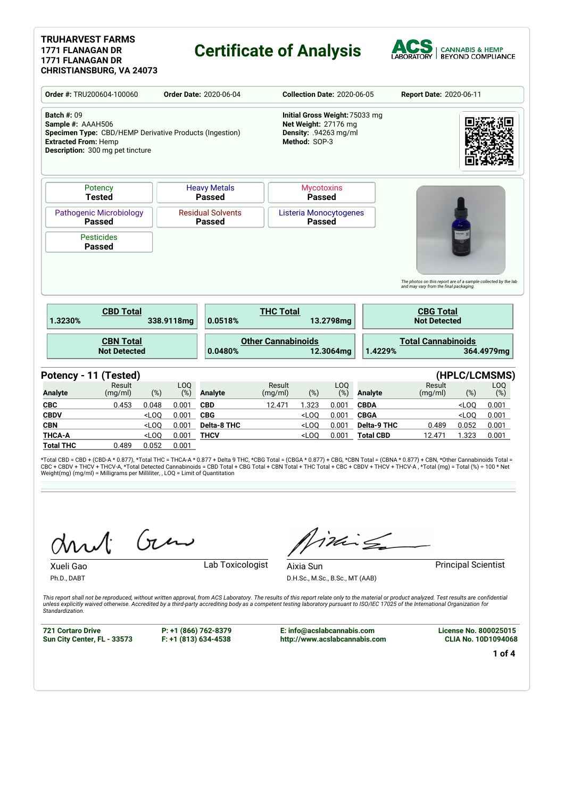#### **TRUHARVEST FARMS 1771 FLANAGAN DR 1771 FLANAGAN DR CHRISTIANSBURG, VA 24073**

### **Certificate of Analysis**



|                                                                                                                                                                              | Order #: TRU200604-100060                                                   |                                                                                                  | <b>Order Date: 2020-06-04</b>        |                           |                                         | <b>Collection Date: 2020-06-05</b> |                                        | Report Date: 2020-06-11                                                           |                      |                                                                |
|------------------------------------------------------------------------------------------------------------------------------------------------------------------------------|-----------------------------------------------------------------------------|--------------------------------------------------------------------------------------------------|--------------------------------------|---------------------------|-----------------------------------------|------------------------------------|----------------------------------------|-----------------------------------------------------------------------------------|----------------------|----------------------------------------------------------------|
| <b>Batch #: 09</b><br>Sample #: AAAH506<br>Specimen Type: CBD/HEMP Derivative Products (Ingestion)<br><b>Extracted From: Hemp</b><br><b>Description:</b> 300 mg pet tincture |                                                                             | Initial Gross Weight: 75033 mg<br>Net Weight: 27176 mg<br>Density: .94263 mg/ml<br>Method: SOP-3 |                                      |                           |                                         |                                    |                                        |                                                                                   |                      |                                                                |
| Potency<br><b>Tested</b>                                                                                                                                                     |                                                                             |                                                                                                  | <b>Heavy Metals</b><br><b>Passed</b> |                           | <b>Mycotoxins</b><br><b>Passed</b>      |                                    |                                        |                                                                                   |                      |                                                                |
| <b>Passed</b>                                                                                                                                                                | <b>Pathogenic Microbiology</b><br><b>Residual Solvents</b><br><b>Passed</b> |                                                                                                  |                                      |                           | Listeria Monocytogenes<br><b>Passed</b> |                                    |                                        |                                                                                   |                      |                                                                |
| <b>Pesticides</b><br><b>Passed</b>                                                                                                                                           |                                                                             |                                                                                                  |                                      |                           |                                         |                                    |                                        |                                                                                   |                      |                                                                |
|                                                                                                                                                                              |                                                                             |                                                                                                  |                                      |                           |                                         |                                    |                                        |                                                                                   |                      |                                                                |
| <b>CBD Total</b><br>1.3230%                                                                                                                                                  |                                                                             | 338.9118mg                                                                                       | 0.0518%                              | <b>THC Total</b>          |                                         | 13.2798mg                          |                                        | and may vary from the final packaging.<br><b>CBG Total</b><br><b>Not Detected</b> |                      | The photos on this report are of a sample collected by the lab |
| <b>CBN Total</b><br><b>Not Detected</b>                                                                                                                                      |                                                                             |                                                                                                  | 0.0480%                              | <b>Other Cannabinoids</b> |                                         | 12.3064mg                          | 1.4229%                                | <b>Total Cannabinoids</b>                                                         |                      | 364.4979mg                                                     |
|                                                                                                                                                                              |                                                                             |                                                                                                  |                                      |                           |                                         |                                    |                                        |                                                                                   |                      |                                                                |
| Result<br>(mg/ml)                                                                                                                                                            | $(\%)$                                                                      | LOQ<br>(%)                                                                                       | <b>Analyte</b>                       | Result<br>(mg/ml)         | $(\%)$                                  | LOQ<br>$(\%)$                      | <b>Analyte</b>                         | Result<br>(mg/ml)                                                                 | (HPLC/LCMSMS)<br>(%) | LOQ<br>$(\%)$                                                  |
| 0.453                                                                                                                                                                        | 0.048                                                                       | 0.001                                                                                            | <b>CBD</b>                           | 12.471                    | 1.323                                   | 0.001                              | <b>CBDA</b>                            |                                                                                   | $<$ LOO              | 0.001                                                          |
|                                                                                                                                                                              | $<$ LOQ                                                                     | 0.001                                                                                            | <b>CBG</b>                           |                           | $<$ LOQ                                 | 0.001                              | <b>CBGA</b>                            |                                                                                   | $<$ LOQ              | 0.001                                                          |
| Potency - 11 (Tested)<br><b>Analyte</b><br><b>CBC</b><br><b>CBDV</b><br><b>CBN</b><br><b>THCA-A</b>                                                                          | $<$ LOQ<br>$<$ LOO                                                          | 0.001<br>0.001                                                                                   | <b>Delta-8 THC</b><br><b>THCV</b>    |                           | $<$ LOQ<br>$<$ LOO                      | 0.001<br>0.001                     | <b>Delta-9 THC</b><br><b>Total CBD</b> | 0.489<br>12.471                                                                   | 0.052<br>1.323       | 0.001<br>0.001                                                 |

\*Total CBD = CBD + (CBD-A \* 0.877), \*Total THC = THCA-A \* 0.877 + Delta 9 THC, \*CBG Total = (CBGA \* 0.877) + CBG, \*CBN Total = (CBNA \* 0.877) + CBN, \*Other Cannabinoids Total =<br>CBC + CBDV + THCV + THCV-A, \*Total Detected C

Gen

Ph.D., DABT

inis

Xueli Gao **Lab Toxicologist** 

Aixia Sun **Principal Scientist** 

D.H.Sc., M.Sc., B.Sc., MT (AAB)

This report shall not be reproduced, without written approval, from ACS Laboratory. The results of this report relate only to the material or product analyzed. Test results are confidential<br>unless explicitly waived otherwi *Standardization.*

**721 Cortaro Drive Sun City Center, FL - 33573** **P: +1 (866) 762-8379 F: +1 (813) 634-4538**

**E: info@acslabcannabis.com http://www.acslabcannabis.com**

**CLIA No. 10D1094068**

**License No. 800025015**

**1 of 4**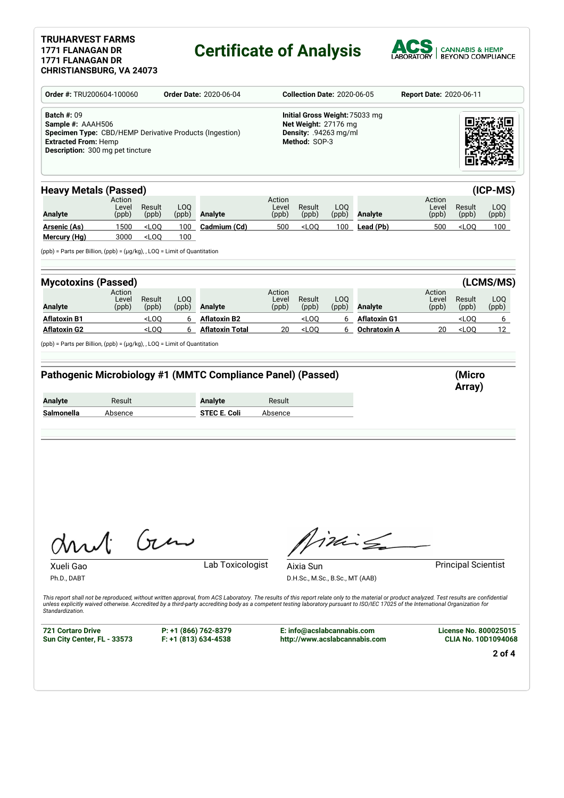### **TRUHARVEST FARMS 1771 FLANAGAN DR 1771 FLANAGAN DR**

# **Certificate of Analysis**



| Order #: TRU200604-100060<br><b>Order Date: 2020-06-04</b>                                                                                                                   |                          |                                                                                                       |              |                                                                                       |                                                                                                  | <b>Collection Date: 2020-06-05</b>           |              | <b>Report Date: 2020-06-11</b> |                          |                             |                  |  |
|------------------------------------------------------------------------------------------------------------------------------------------------------------------------------|--------------------------|-------------------------------------------------------------------------------------------------------|--------------|---------------------------------------------------------------------------------------|--------------------------------------------------------------------------------------------------|----------------------------------------------|--------------|--------------------------------|--------------------------|-----------------------------|------------------|--|
| <b>Batch #: 09</b><br>Sample #: AAAH506<br>Specimen Type: CBD/HEMP Derivative Products (Ingestion)<br><b>Extracted From: Hemp</b><br><b>Description:</b> 300 mg pet tincture |                          |                                                                                                       |              |                                                                                       | Initial Gross Weight: 75033 mg<br>Net Weight: 27176 mg<br>Density: .94263 mg/ml<br>Method: SOP-3 |                                              |              |                                |                          |                             |                  |  |
| <b>Heavy Metals (Passed)</b>                                                                                                                                                 |                          |                                                                                                       |              |                                                                                       |                                                                                                  |                                              |              |                                |                          |                             | (ICP-MS)         |  |
| <b>Analyte</b>                                                                                                                                                               | Action<br>Level<br>(ppb) | Result<br>(ppb)                                                                                       | LOQ<br>(ppb) | <b>Analyte</b>                                                                        | Action<br>Level<br>(ppb)                                                                         | Result<br>(ppb)                              | LOQ<br>(ppb) | Analyte                        | Action<br>Level<br>(ppb) | Result<br>(ppb)             | LOQ<br>(ppb)     |  |
| <b>Arsenic (As)</b>                                                                                                                                                          | 1500                     | LOO                                                                                                   | 100          | Cadmium (Cd)                                                                          | 500                                                                                              | $<$ LOQ                                      | 100          | Lead (Pb)                      | 500                      | $<$ LOQ                     | 100              |  |
| Mercury (Hg)<br>$(ppb)$ = Parts per Billion, $(ppb)$ = $(\mu g/kg)$ , , LOQ = Limit of Quantitation                                                                          | 3000                     | $<$ LOQ                                                                                               | 100          |                                                                                       |                                                                                                  |                                              |              |                                |                          |                             |                  |  |
| <b>Mycotoxins (Passed)</b>                                                                                                                                                   |                          |                                                                                                       |              |                                                                                       |                                                                                                  |                                              |              |                                |                          |                             | (LCMS/MS)        |  |
|                                                                                                                                                                              | Action                   |                                                                                                       | LOQ          |                                                                                       | Action                                                                                           |                                              | LOQ          |                                | Action                   |                             |                  |  |
| Analyte                                                                                                                                                                      | Level<br>(ppb)           | Result<br>(ppb)                                                                                       | (ppb)        | <b>Analyte</b>                                                                        | Level<br>(ppb)                                                                                   | Result<br>(ppb)                              | (ppb)        | Analyte                        | Level<br>(ppb)           | Result<br>(ppb)             | LOQ<br>(ppb)     |  |
| Aflatoxin B1                                                                                                                                                                 |                          |                                                                                                       |              | <b>Aflatoxin B2</b>                                                                   |                                                                                                  | $<$ LOQ                                      | 6            | <b>Aflatoxin G1</b>            |                          | $<$ LOQ                     | 6                |  |
|                                                                                                                                                                              |                          | <loq< td=""><td>6</td><td></td><td></td><td></td><td></td><td></td><td></td><td></td><td></td></loq<> | 6            |                                                                                       |                                                                                                  |                                              |              |                                |                          |                             |                  |  |
|                                                                                                                                                                              |                          | $<$ LOQ                                                                                               | 6            | <b>Aflatoxin Total</b><br>Pathogenic Microbiology #1 (MMTC Compliance Panel) (Passed) | 20                                                                                               | $<$ LOQ                                      | 6            | Ochratoxin A                   | 20                       | $<$ LOQ<br>(Micro<br>Array) |                  |  |
|                                                                                                                                                                              | Result                   |                                                                                                       |              | <b>Analyte</b>                                                                        | Result                                                                                           |                                              |              |                                |                          |                             |                  |  |
| <b>Aflatoxin G2</b><br>(ppb) = Parts per Billion, (ppb) = (µg/kg), , LOQ = Limit of Quantitation<br><b>Analyte</b><br>Salmonella                                             | Absence                  |                                                                                                       |              | <b>STEC E. Coli</b>                                                                   | Absence                                                                                          |                                              |              |                                |                          |                             | 12 <sup>12</sup> |  |
| Mul<br>Xueli Gao<br>Ph.D., DABT                                                                                                                                              |                          | $\int_{\mathcal{U}}$                                                                                  |              | Lab Toxicologist                                                                      |                                                                                                  | Aixia Sun<br>D.H.Sc., M.Sc., B.Sc., MT (AAB) |              | $iki \nleq$                    |                          | <b>Principal Scientist</b>  |                  |  |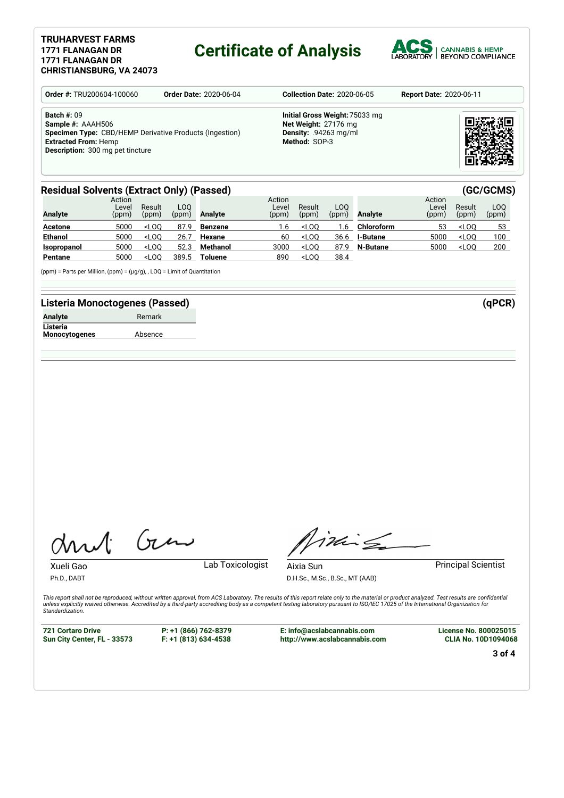#### **TRUHARVEST FARMS 1771 FLANAGAN DR 1771 FLANAGAN DR CHRISTIANSBURG, VA 24073**

### **Certificate of Analysis**



| <b>Order #: TRU200604-100060</b>                                                                                                                                             | <b>Order Date: 2020-06-04</b> | <b>Report Date: 2020-06-11</b>                                                                          |  |
|------------------------------------------------------------------------------------------------------------------------------------------------------------------------------|-------------------------------|---------------------------------------------------------------------------------------------------------|--|
| <b>Batch #: 09</b><br>Sample #: AAAH506<br>Specimen Type: CBD/HEMP Derivative Products (Ingestion)<br><b>Extracted From: Hemp</b><br><b>Description:</b> 300 mg pet tincture |                               | Initial Gross Weight: 75033 mg<br>Net Weight: 27176 mg<br><b>Density: .94263 mg/ml</b><br>Method: SOP-3 |  |

#### **Residual Solvents (Extract Only) (Passed) (GC/GCMS)**

| <b>Analyte</b> | Action<br>Level<br>(ppm) | Result<br>(ppm) | LOO<br>(ppm) | Analyte        | Action<br>Level<br>(ppm) | Result<br>(ppm) | LOO.<br>(ppm) | Analyte         | Action<br>Level<br>(ppm) | Result<br>(ppm) | LOO<br>(ppm) |
|----------------|--------------------------|-----------------|--------------|----------------|--------------------------|-----------------|---------------|-----------------|--------------------------|-----------------|--------------|
| <b>Acetone</b> | 5000                     | $<$ LOO         | 87.9         | Benzene        | 1.6                      | $<$ LOO         | .6            | Chloroform      | 53                       | $<$ LOO         | 53           |
| <b>Ethanol</b> | 5000                     | $<$ LOO         | 26.7         | Hexane         | 60                       | $<$ LOO         | 36.6          | <b>I-Butane</b> | 5000                     | $<$ LOO         | 100          |
| Isopropanol    | 5000                     | $<$ LOO         | 52.3         | Methanol       | 3000                     | $<$ LOO         | 87.9          | N-Butane        | 5000                     | $<$ LOO         | 200          |
| Pentane        | 5000                     | $<$ LOO         | 389.5        | <b>Toluene</b> | 890                      | $<$ LOO         | 38.4          |                 |                          |                 |              |

(ppm) = Parts per Million, (ppm) = (µg/g), , LOQ = Limit of Quantitation

#### **Listeria Monoctogenes (Passed) (qPCR)**

| Analyte  | Remark |  |
|----------|--------|--|
| Listeria |        |  |

**Listeria Monocytogenes** Absence

Gen

Xueli Gao **Lab Toxicologist** 

Ph.D., DABT

Timile

D.H.Sc., M.Sc., B.Sc., MT (AAB)

Aixia Sun **Principal Scientist** 

This report shall not be reproduced, without written approval, from ACS Laboratory. The results of this report relate only to the material or product analyzed. Test results are confidential<br>unless explicitly waived otherwi *Standardization.*

**721 Cortaro Drive Sun City Center, FL - 33573** **P: +1 (866) 762-8379 F: +1 (813) 634-4538**

**E: info@acslabcannabis.com http://www.acslabcannabis.com** **License No. 800025015 CLIA No. 10D1094068**

**3 of 4**